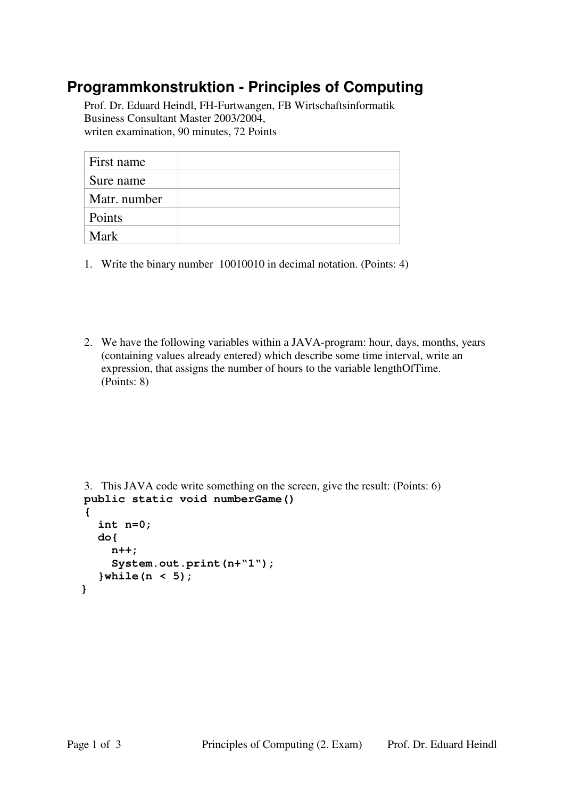## **Programmkonstruktion - Principles of Computing**

Prof. Dr. Eduard Heindl, FH-Furtwangen, FB Wirtschaftsinformatik Business Consultant Master 2003/2004, writen examination, 90 minutes, 72 Points

| First name   |  |
|--------------|--|
| Sure name    |  |
| Matr. number |  |
| Points       |  |
| Mark         |  |

1. Write the binary number 10010010 in decimal notation. (Points: 4)

2. We have the following variables within a JAVA-program: hour, days, months, years (containing values already entered) which describe some time interval, write an expression, that assigns the number of hours to the variable lengthOfTime. (Points: 8)

```
3. This JAVA code write something on the screen, give the result: (Points: 6) 
public static void numberGame() 
{ 
    int n=0; 
    do{ 
      n++; 
      System.out.print(n+"1"); 
    }while(n < 5); 
 }
```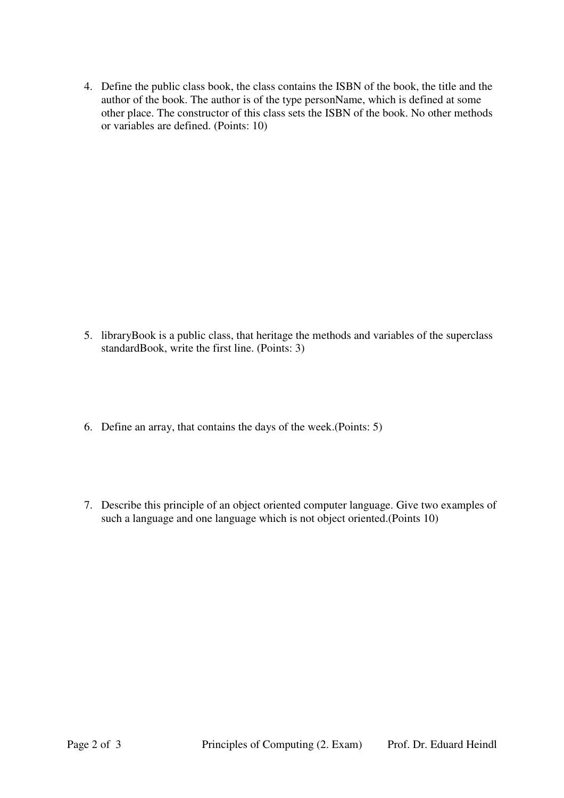4. Define the public class book, the class contains the ISBN of the book, the title and the author of the book. The author is of the type personName, which is defined at some other place. The constructor of this class sets the ISBN of the book. No other methods or variables are defined. (Points: 10)

- 5. libraryBook is a public class, that heritage the methods and variables of the superclass standardBook, write the first line. (Points: 3)
- 6. Define an array, that contains the days of the week.(Points: 5)
- 7. Describe this principle of an object oriented computer language. Give two examples of such a language and one language which is not object oriented.(Points 10)